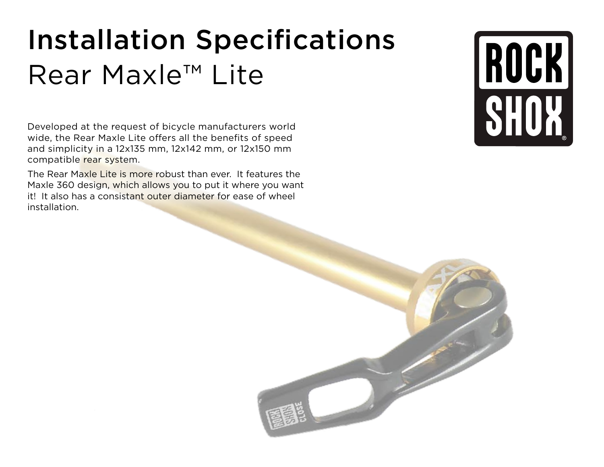## Installation Specifications Rear Maxle™ Lite

Developed at the request of bicycle manufacturers world wide, the Rear Maxle Lite offers all the benefits of speed and simplicity in a 12x135 mm, 12x142 mm, or 12x150 mm compatible rear system.

The Rear Maxle Lite is more robust than ever. It features the Maxle 360 design, which allows you to put it where you want it! It also has a consistant outer diameter for ease of wheel installation.

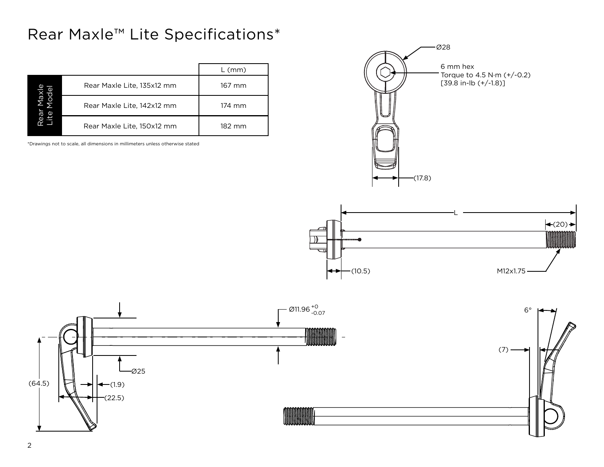## Rear Maxle™ Lite Specifications\*

|  |                            | $L$ (mm) |
|--|----------------------------|----------|
|  | Rear Maxle Lite, 135x12 mm | 167 mm   |
|  | Rear Maxle Lite, 142x12 mm | 174 mm   |
|  | Rear Maxle Lite, 150x12 mm | 182 mm   |

\*Drawings not to scale, all dimensions in millimeters unless otherwise stated





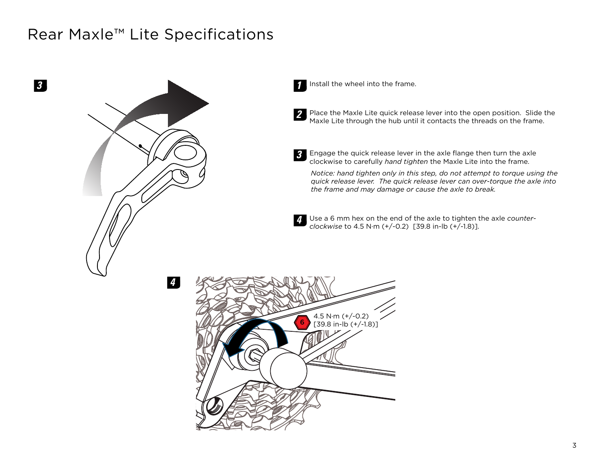## Rear Maxle™ Lite Specifications